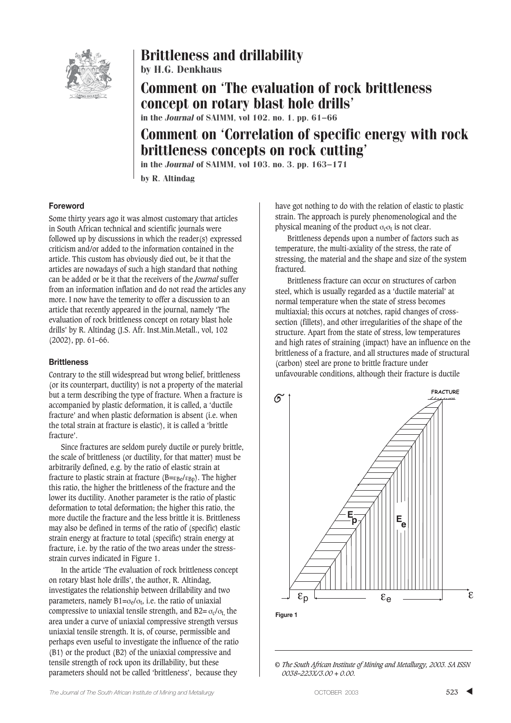

## Brittleness and drillability

by H.G. Denkhaus

Comment on 'The evaluation of rock brittleness concept on rotary blast hole drills' in the Journal of SAIMM, vol 102. no. 1. pp. 61–66

# Comment on 'Correlation of specific energy with rock brittleness concepts on rock cutting'

in the Journal of SAIMM, vol 103. no. 3. pp. 163–171

by R. Altindag

#### **Foreword**

Some thirty years ago it was almost customary that articles in South African technical and scientific journals were followed up by discussions in which the reader(s) expressed criticism and/or added to the information contained in the article. This custom has obviously died out, be it that the articles are nowadays of such a high standard that nothing can be added or be it that the receivers of the *Journal* suffer from an information inflation and do not read the articles any more. I now have the temerity to offer a discussion to an article that recently appeared in the journal, namely 'The evaluation of rock brittleness concept on rotary blast hole drills' by R. Altindag (J.S. Afr. Inst.Min.Metall., vol, 102 (2002), pp. 61–66.

#### **Brittleness**

Contrary to the still widespread but wrong belief, brittleness (or its counterpart, ductility) is not a property of the material but a term describing the type of fracture. When a fracture is accompanied by plastic deformation, it is called, a 'ductile fracture' and when plastic deformation is absent (i.e. when the total strain at fracture is elastic), it is called a 'brittle fracture'.

Since fractures are seldom purely ductile or purely brittle, the scale of brittleness (or ductility, for that matter) must be arbitrarily defined, e.g. by the ratio of elastic strain at fracture to plastic strain at fracture ( $B = \varepsilon_{Be} / \varepsilon_{BD}$ ). The higher this ratio, the higher the brittleness of the fracture and the lower its ductility. Another parameter is the ratio of plastic deformation to total deformation; the higher this ratio, the more ductile the fracture and the less brittle it is. Brittleness may also be defined in terms of the ratio of (specific) elastic strain energy at fracture to total (specific) strain energy at fracture, i.e. by the ratio of the two areas under the stressstrain curves indicated in Figure 1.

In the article 'The evaluation of rock brittleness concept on rotary blast hole drills', the author, R. Altindag, investigates the relationship between drillability and two parameters, namely  $B1 = \sigma_e / \sigma_t$ , i.e. the ratio of uniaxial compressive to uniaxial tensile strength, and  $B2 = \sigma_c/\sigma_t$ , the area under a curve of uniaxial compressive strength versus uniaxial tensile strength. It is, of course, permissible and perhaps even useful to investigate the influence of the ratio (B1) or the product (B2) of the uniaxial compressive and tensile strength of rock upon its drillability, but these parameters should not be called 'brittleness', because they

have got nothing to do with the relation of elastic to plastic strain. The approach is purely phenomenological and the physical meaning of the product  $\sigma_{c} \sigma_{t}$  is not clear.

Brittleness depends upon a number of factors such as temperature, the multi-axiality of the stress, the rate of stressing, the material and the shape and size of the system fractured.

Brittleness fracture can occur on structures of carbon steel, which is usually regarded as a 'ductile material' at normal temperature when the state of stress becomes multiaxial; this occurs at notches, rapid changes of crosssection (fillets), and other irregularities of the shape of the structure. Apart from the state of stress, low temperatures and high rates of straining (impact) have an influence on the brittleness of a fracture, and all structures made of structural (carbon) steel are prone to brittle fracture under unfavourable conditions, although their fracture is ductile



**Figure 1**

*© The South African Institute of Mining and Metallurgy, 2003. SA ISSN 0038–223X/3.00 + 0.00.*